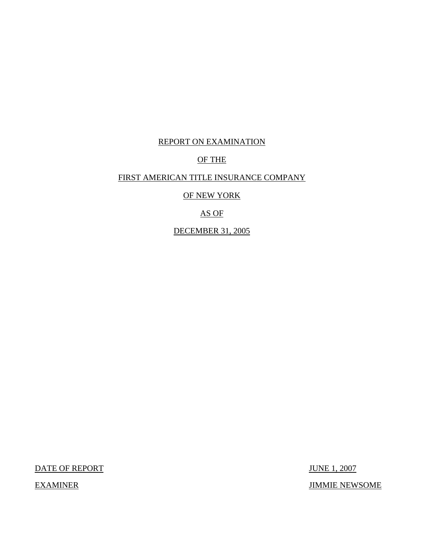## REPORT ON EXAMINATION

## OF THE

## FIRST AMERICAN TITLE INSURANCE COMPANY

OF NEW YORK

# AS OF

DECEMBER 31, 2005

**EXAMINER** 

DATE OF REPORT JUNE 1, 2007 JIMMIE NEWSOME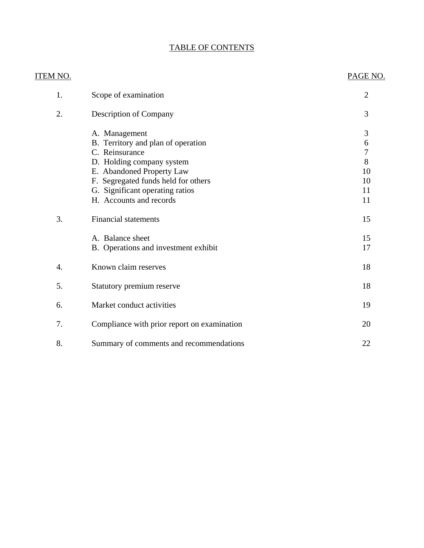# TABLE OF CONTENTS

| ITEM NO.         |                                                                                                                                                                                                                                      | PAGE NO.                                              |
|------------------|--------------------------------------------------------------------------------------------------------------------------------------------------------------------------------------------------------------------------------------|-------------------------------------------------------|
| 1.               | Scope of examination                                                                                                                                                                                                                 | $\overline{2}$                                        |
| 2.               | Description of Company                                                                                                                                                                                                               | 3                                                     |
|                  | A. Management<br>B. Territory and plan of operation<br>C. Reinsurance<br>D. Holding company system<br>E. Abandoned Property Law<br>F. Segregated funds held for others<br>G. Significant operating ratios<br>H. Accounts and records | 3<br>6<br>$\overline{7}$<br>8<br>10<br>10<br>11<br>11 |
| 3.               | <b>Financial statements</b>                                                                                                                                                                                                          | 15                                                    |
|                  | A. Balance sheet<br>B. Operations and investment exhibit                                                                                                                                                                             | 15<br>17                                              |
| $\overline{4}$ . | Known claim reserves                                                                                                                                                                                                                 | 18                                                    |
| 5.               | Statutory premium reserve                                                                                                                                                                                                            | 18                                                    |
| 6.               | Market conduct activities                                                                                                                                                                                                            | 19                                                    |
| 7.               | Compliance with prior report on examination                                                                                                                                                                                          | 20                                                    |
| 8.               | Summary of comments and recommendations                                                                                                                                                                                              | 22                                                    |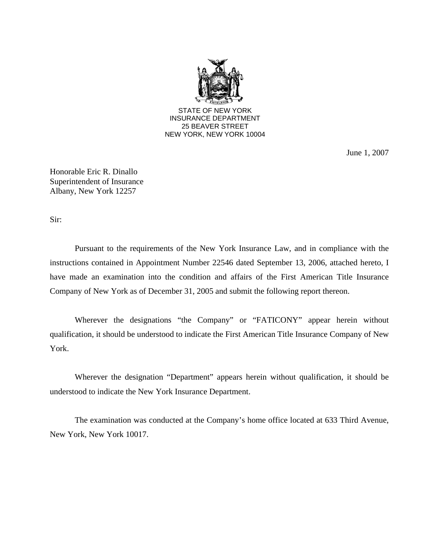

June 1, 2007

Honorable Eric R. Dinallo Superintendent of Insurance Albany, New York 12257

Sir:

Pursuant to the requirements of the New York Insurance Law, and in compliance with the instructions contained in Appointment Number 22546 dated September 13, 2006, attached hereto, I have made an examination into the condition and affairs of the First American Title Insurance Company of New York as of December 31, 2005 and submit the following report thereon.

Wherever the designations "the Company" or "FATICONY" appear herein without qualification, it should be understood to indicate the First American Title Insurance Company of New York.

Wherever the designation "Department" appears herein without qualification, it should be understood to indicate the New York Insurance Department.

The examination was conducted at the Company's home office located at 633 Third Avenue, New York, New York 10017.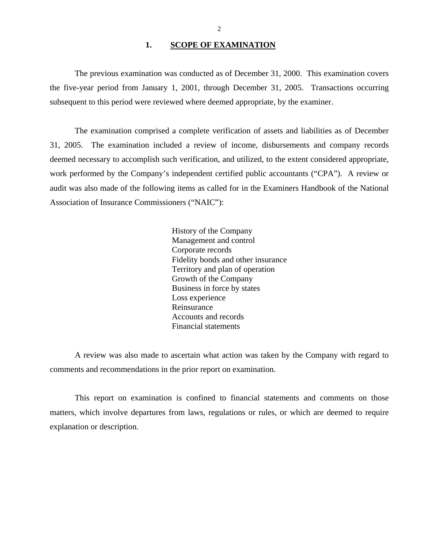## 1. SCOPE OF EXAMINATION

<span id="page-3-0"></span>The previous examination was conducted as of December 31, 2000. This examination covers the five-year period from January 1, 2001, through December 31, 2005. Transactions occurring subsequent to this period were reviewed where deemed appropriate, by the examiner.

The examination comprised a complete verification of assets and liabilities as of December 31, 2005. The examination included a review of income, disbursements and company records deemed necessary to accomplish such verification, and utilized, to the extent considered appropriate, work performed by the Company's independent certified public accountants ("CPA"). A review or audit was also made of the following items as called for in the Examiners Handbook of the National Association of Insurance Commissioners ("NAIC"):

> History of the Company Management and control Corporate records Fidelity bonds and other insurance Territory and plan of operation Growth of the Company Business in force by states Loss experience Reinsurance Accounts and records Financial statements

A review was also made to ascertain what action was taken by the Company with regard to comments and recommendations in the prior report on examination.

This report on examination is confined to financial statements and comments on those matters, which involve departures from laws, regulations or rules, or which are deemed to require explanation or description.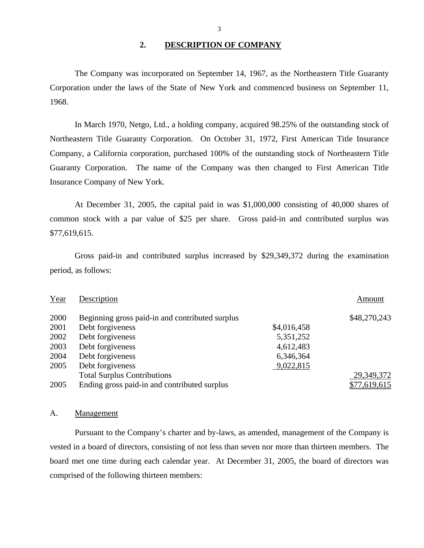### **2. DESCRIPTION OF COMPANY**

The Company was incorporated on September 14, 1967, as the Northeastern Title Guaranty Corporation under the laws of the State of New York and commenced business on September 11, 1968.

In March 1970, Netgo, Ltd., a holding company, acquired 98.25% of the outstanding stock of Northeastern Title Guaranty Corporation. On October 31, 1972, First American Title Insurance Company, a California corporation, purchased 100% of the outstanding stock of Northeastern Title Guaranty Corporation. The name of the Company was then changed to First American Title Insurance Company of New York.

At December 31, 2005, the capital paid in was \$1,000,000 consisting of 40,000 shares of common stock with a par value of \$25 per share. Gross paid-in and contributed surplus was \$77,619,615.

Gross paid-in and contributed surplus increased by \$29,349,372 during the examination period, as follows:

| Year | Description                                     |             | Amount       |
|------|-------------------------------------------------|-------------|--------------|
| 2000 | Beginning gross paid-in and contributed surplus |             | \$48,270,243 |
| 2001 | Debt forgiveness                                | \$4,016,458 |              |
| 2002 | Debt forgiveness                                | 5,351,252   |              |
| 2003 | Debt forgiveness                                | 4,612,483   |              |
| 2004 | Debt forgiveness                                | 6,346,364   |              |
| 2005 | Debt forgiveness                                | 9,022,815   |              |
|      | <b>Total Surplus Contributions</b>              |             | 29,349,372   |
| 2005 | Ending gross paid-in and contributed surplus    |             | \$77,619,615 |

#### A. Management

Pursuant to the Company's charter and by-laws, as amended, management of the Company is vested in a board of directors, consisting of not less than seven nor more than thirteen members. The board met one time during each calendar year. At December 31, 2005, the board of directors was comprised of the following thirteen members: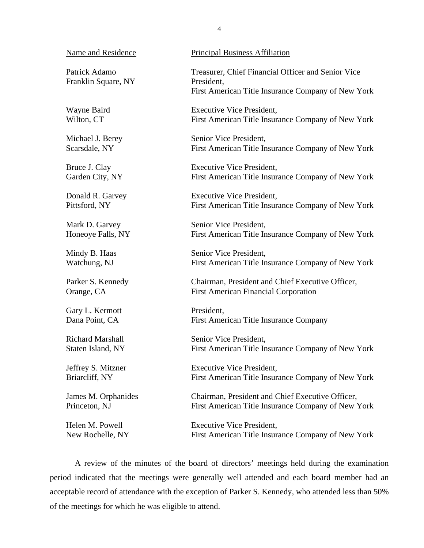Franklin Square, NY President,

Gary L. Kermott President,

Name and Residence Principal Business Affiliation

Patrick Adamo Treasurer, Chief Financial Officer and Senior Vice First American Title Insurance Company of New York

Wayne Baird **Executive Vice President**, Wilton, CT First American Title Insurance Company of New York

Michael J. Berey Senior Vice President, Scarsdale, NY First American Title Insurance Company of New York

Bruce J. Clay Executive Vice President, Garden City, NY First American Title Insurance Company of New York

Donald R. Garvey Executive Vice President, Pittsford, NY First American Title Insurance Company of New York

Mark D. Garvey Senior Vice President, Honeoye Falls, NY First American Title Insurance Company of New York

Mindy B. Haas Senior Vice President, Watchung, NJ First American Title Insurance Company of New York

Parker S. Kennedy Chairman, President and Chief Executive Officer, Orange, CA First American Financial Corporation

Dana Point, CA First American Title Insurance Company

Richard Marshall Senior Vice President, Staten Island, NY First American Title Insurance Company of New York

Jeffrey S. Mitzner Executive Vice President, Briarcliff, NY First American Title Insurance Company of New York

James M. Orphanides Chairman, President and Chief Executive Officer, Princeton, NJ First American Title Insurance Company of New York

Helen M. Powell Executive Vice President. New Rochelle, NY First American Title Insurance Company of New York

A review of the minutes of the board of directors' meetings held during the examination period indicated that the meetings were generally well attended and each board member had an acceptable record of attendance with the exception of Parker S. Kennedy, who attended less than 50% of the meetings for which he was eligible to attend.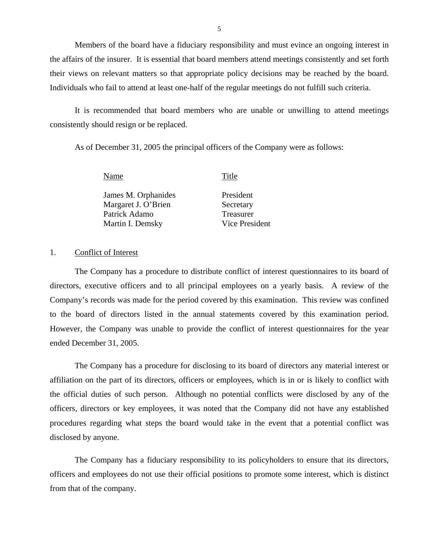Members of the board have a fiduciary responsibility and must evince an ongoing interest in the affairs of the insurer. It is essential that board members attend meetings consistently and set forth their views on relevant matters so that appropriate policy decisions may be reached by the board. Individuals who fail to attend at least one-half of the regular meetings do not fulfill such criteria.

It is recommended that board members who are unable or unwilling to attend meetings consistently should resign or be replaced.

As of December 31, 2005 the principal officers of the Company were as follows:

Name Title

James M. Orphanides President Margaret J. O'Brien Secretary Patrick Adamo Treasurer Martin I. Demsky Vice President

## 1. Conflict of Interest

The Company has a procedure to distribute conflict of interest questionnaires to its board of directors, executive officers and to all principal employees on a yearly basis. A review of the Company's records was made for the period covered by this examination. This review was confined to the board of directors listed in the annual statements covered by this examination period. However, the Company was unable to provide the conflict of interest questionnaires for the year ended December 31, 2005.

The Company has a procedure for disclosing to its board of directors any material interest or affiliation on the part of its directors, officers or employees, which is in or is likely to conflict with the official duties of such person. Although no potential conflicts were disclosed by any of the officers, directors or key employees, it was noted that the Company did not have any established procedures regarding what steps the board would take in the event that a potential conflict was disclosed by anyone.

The Company has a fiduciary responsibility to its policyholders to ensure that its directors, officers and employees do not use their official positions to promote some interest, which is distinct from that of the company.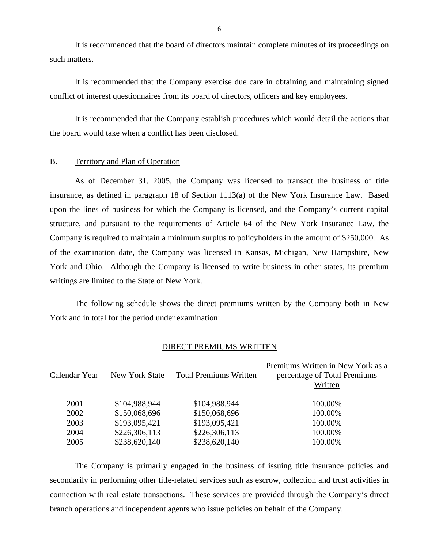It is recommended that the board of directors maintain complete minutes of its proceedings on such matters.

It is recommended that the Company exercise due care in obtaining and maintaining signed conflict of interest questionnaires from its board of directors, officers and key employees.

It is recommended that the Company establish procedures which would detail the actions that the board would take when a conflict has been disclosed.

## B. Territory and Plan of Operation

As of December 31, 2005, the Company was licensed to transact the business of title insurance, as defined in paragraph 18 of Section 1113(a) of the New York Insurance Law. Based upon the lines of business for which the Company is licensed, and the Company's current capital structure, and pursuant to the requirements of Article 64 of the New York Insurance Law, the Company is required to maintain a minimum surplus to policyholders in the amount of \$250,000. As of the examination date, the Company was licensed in Kansas, Michigan, New Hampshire, New York and Ohio. Although the Company is licensed to write business in other states, its premium writings are limited to the State of New York.

The following schedule shows the direct premiums written by the Company both in New York and in total for the period under examination:

## DIRECT PREMIUMS WRITTEN

| Calendar Year | New York State | <b>Total Premiums Written</b> | Premiums Written in New York as a<br>percentage of Total Premiums<br>Written |
|---------------|----------------|-------------------------------|------------------------------------------------------------------------------|
| 2001          | \$104,988,944  | \$104,988,944                 | 100.00%                                                                      |
| 2002          | \$150,068,696  | \$150,068,696                 | 100.00%                                                                      |
| 2003          | \$193,095,421  | \$193,095,421                 | 100.00%                                                                      |
| 2004          | \$226,306,113  | \$226,306,113                 | 100.00%                                                                      |
| 2005          | \$238,620,140  | \$238,620,140                 | 100.00%                                                                      |
|               |                |                               |                                                                              |

The Company is primarily engaged in the business of issuing title insurance policies and secondarily in performing other title-related services such as escrow, collection and trust activities in connection with real estate transactions. These services are provided through the Company's direct branch operations and independent agents who issue policies on behalf of the Company.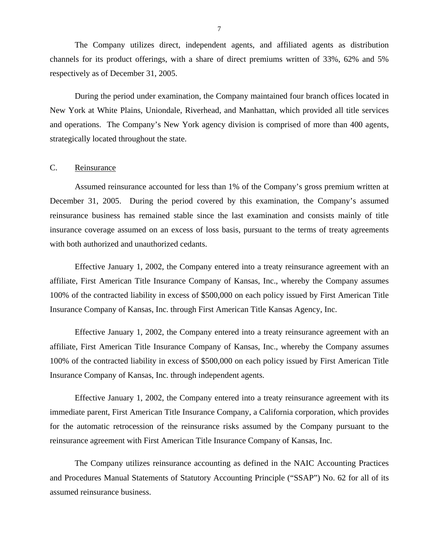<span id="page-8-0"></span>The Company utilizes direct, independent agents, and affiliated agents as distribution channels for its product offerings, with a share of direct premiums written of 33%, 62% and 5% respectively as of December 31, 2005.

During the period under examination, the Company maintained four branch offices located in New York at White Plains, Uniondale, Riverhead, and Manhattan, which provided all title services and operations. The Company's New York agency division is comprised of more than 400 agents, strategically located throughout the state.

## C. Reinsurance

Assumed reinsurance accounted for less than 1% of the Company's gross premium written at December 31, 2005. During the period covered by this examination, the Company's assumed reinsurance business has remained stable since the last examination and consists mainly of title insurance coverage assumed on an excess of loss basis, pursuant to the terms of treaty agreements with both authorized and unauthorized cedants.

Effective January 1, 2002, the Company entered into a treaty reinsurance agreement with an affiliate, First American Title Insurance Company of Kansas, Inc., whereby the Company assumes 100% of the contracted liability in excess of \$500,000 on each policy issued by First American Title Insurance Company of Kansas, Inc. through First American Title Kansas Agency, Inc.

Effective January 1, 2002, the Company entered into a treaty reinsurance agreement with an affiliate, First American Title Insurance Company of Kansas, Inc., whereby the Company assumes 100% of the contracted liability in excess of \$500,000 on each policy issued by First American Title Insurance Company of Kansas, Inc. through independent agents.

Effective January 1, 2002, the Company entered into a treaty reinsurance agreement with its immediate parent, First American Title Insurance Company, a California corporation, which provides for the automatic retrocession of the reinsurance risks assumed by the Company pursuant to the reinsurance agreement with First American Title Insurance Company of Kansas, Inc.

The Company utilizes reinsurance accounting as defined in the NAIC Accounting Practices and Procedures Manual Statements of Statutory Accounting Principle ("SSAP") No. 62 for all of its assumed reinsurance business.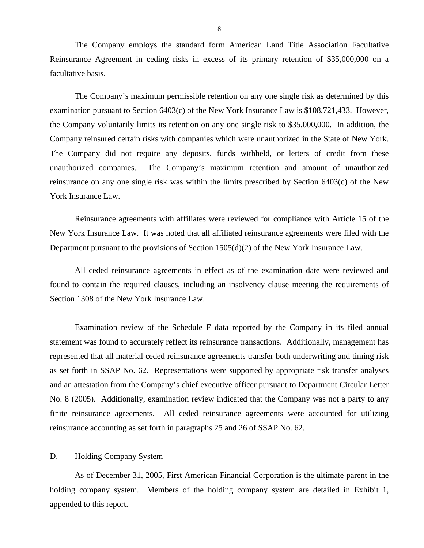<span id="page-9-0"></span>The Company employs the standard form American Land Title Association Facultative Reinsurance Agreement in ceding risks in excess of its primary retention of \$35,000,000 on a facultative basis.

The Company's maximum permissible retention on any one single risk as determined by this examination pursuant to Section 6403(c) of the New York Insurance Law is \$108,721,433. However, the Company voluntarily limits its retention on any one single risk to \$35,000,000. In addition, the Company reinsured certain risks with companies which were unauthorized in the State of New York. The Company did not require any deposits, funds withheld, or letters of credit from these unauthorized companies. The Company's maximum retention and amount of unauthorized reinsurance on any one single risk was within the limits prescribed by Section 6403(c) of the New York Insurance Law.

Reinsurance agreements with affiliates were reviewed for compliance with Article 15 of the New York Insurance Law. It was noted that all affiliated reinsurance agreements were filed with the Department pursuant to the provisions of Section 1505(d)(2) of the New York Insurance Law.

All ceded reinsurance agreements in effect as of the examination date were reviewed and found to contain the required clauses, including an insolvency clause meeting the requirements of Section 1308 of the New York Insurance Law.

Examination review of the Schedule F data reported by the Company in its filed annual statement was found to accurately reflect its reinsurance transactions. Additionally, management has represented that all material ceded reinsurance agreements transfer both underwriting and timing risk as set forth in SSAP No. 62. Representations were supported by appropriate risk transfer analyses and an attestation from the Company's chief executive officer pursuant to Department Circular Letter No. 8 (2005). Additionally, examination review indicated that the Company was not a party to any finite reinsurance agreements. All ceded reinsurance agreements were accounted for utilizing reinsurance accounting as set forth in paragraphs 25 and 26 of SSAP No. 62.

## D. Holding Company System

As of December 31, 2005, First American Financial Corporation is the ultimate parent in the holding company system. Members of the holding company system are detailed in Exhibit 1, appended to this report.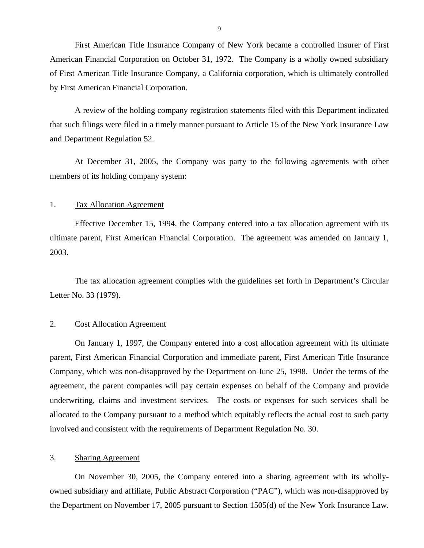First American Title Insurance Company of New York became a controlled insurer of First American Financial Corporation on October 31, 1972. The Company is a wholly owned subsidiary of First American Title Insurance Company, a California corporation, which is ultimately controlled by First American Financial Corporation.

A review of the holding company registration statements filed with this Department indicated that such filings were filed in a timely manner pursuant to Article 15 of the New York Insurance Law and Department Regulation 52.

At December 31, 2005, the Company was party to the following agreements with other members of its holding company system:

## 1. Tax Allocation Agreement

Effective December 15, 1994, the Company entered into a tax allocation agreement with its ultimate parent, First American Financial Corporation. The agreement was amended on January 1, 2003.

The tax allocation agreement complies with the guidelines set forth in Department's Circular Letter No. 33 (1979).

## 2. Cost Allocation Agreement

On January 1, 1997, the Company entered into a cost allocation agreement with its ultimate parent, First American Financial Corporation and immediate parent, First American Title Insurance Company, which was non-disapproved by the Department on June 25, 1998. Under the terms of the agreement, the parent companies will pay certain expenses on behalf of the Company and provide underwriting, claims and investment services. The costs or expenses for such services shall be allocated to the Company pursuant to a method which equitably reflects the actual cost to such party involved and consistent with the requirements of Department Regulation No. 30.

## 3. Sharing Agreement

On November 30, 2005, the Company entered into a sharing agreement with its whollyowned subsidiary and affiliate, Public Abstract Corporation ("PAC"), which was non-disapproved by the Department on November 17, 2005 pursuant to Section 1505(d) of the New York Insurance Law.

9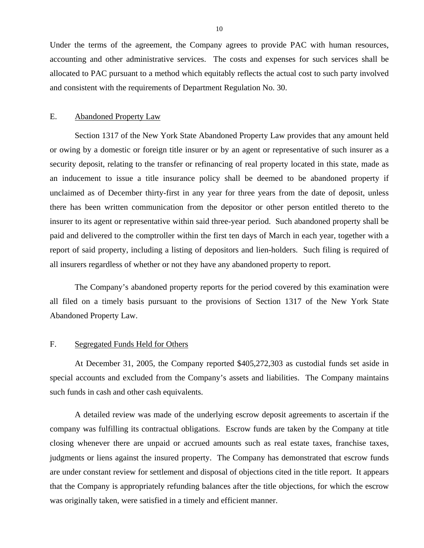<span id="page-11-0"></span>Under the terms of the agreement, the Company agrees to provide PAC with human resources, accounting and other administrative services. The costs and expenses for such services shall be allocated to PAC pursuant to a method which equitably reflects the actual cost to such party involved and consistent with the requirements of Department Regulation No. 30.

## E. Abandoned Property Law

Section 1317 of the New York State Abandoned Property Law provides that any amount held or owing by a domestic or foreign title insurer or by an agent or representative of such insurer as a security deposit, relating to the transfer or refinancing of real property located in this state, made as an inducement to issue a title insurance policy shall be deemed to be abandoned property if unclaimed as of December thirty-first in any year for three years from the date of deposit, unless there has been written communication from the depositor or other person entitled thereto to the insurer to its agent or representative within said three-year period. Such abandoned property shall be paid and delivered to the comptroller within the first ten days of March in each year, together with a report of said property, including a listing of depositors and lien-holders. Such filing is required of all insurers regardless of whether or not they have any abandoned property to report.

The Company's abandoned property reports for the period covered by this examination were all filed on a timely basis pursuant to the provisions of Section 1317 of the New York State Abandoned Property Law.

## F. Segregated Funds Held for Others

At December 31, 2005, the Company reported \$405,272,303 as custodial funds set aside in special accounts and excluded from the Company's assets and liabilities. The Company maintains such funds in cash and other cash equivalents.

A detailed review was made of the underlying escrow deposit agreements to ascertain if the company was fulfilling its contractual obligations. Escrow funds are taken by the Company at title closing whenever there are unpaid or accrued amounts such as real estate taxes, franchise taxes, judgments or liens against the insured property. The Company has demonstrated that escrow funds are under constant review for settlement and disposal of objections cited in the title report. It appears that the Company is appropriately refunding balances after the title objections, for which the escrow was originally taken, were satisfied in a timely and efficient manner.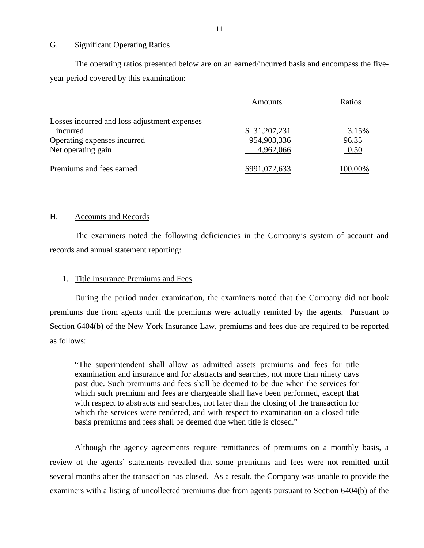## G. Significant Operating Ratios

The operating ratios presented below are on an earned/incurred basis and encompass the fiveyear period covered by this examination:

|                                              | Amounts       | Ratios  |
|----------------------------------------------|---------------|---------|
| Losses incurred and loss adjustment expenses |               |         |
| incurred                                     | \$31,207,231  | 3.15%   |
| Operating expenses incurred                  | 954,903,336   | 96.35   |
| Net operating gain                           | 4,962,066     | 0.50    |
| Premiums and fees earned                     | \$991,072,633 | 100.00% |

## H. Accounts and Records

The examiners noted the following deficiencies in the Company's system of account and records and annual statement reporting:

## 1. Title Insurance Premiums and Fees

During the period under examination, the examiners noted that the Company did not book premiums due from agents until the premiums were actually remitted by the agents. Pursuant to Section 6404(b) of the New York Insurance Law, premiums and fees due are required to be reported as follows:

"The superintendent shall allow as admitted assets premiums and fees for title examination and insurance and for abstracts and searches, not more than ninety days past due. Such premiums and fees shall be deemed to be due when the services for which such premium and fees are chargeable shall have been performed, except that with respect to abstracts and searches, not later than the closing of the transaction for which the services were rendered, and with respect to examination on a closed title basis premiums and fees shall be deemed due when title is closed."

Although the agency agreements require remittances of premiums on a monthly basis, a review of the agents' statements revealed that some premiums and fees were not remitted until several months after the transaction has closed. As a result, the Company was unable to provide the examiners with a listing of uncollected premiums due from agents pursuant to Section 6404(b) of the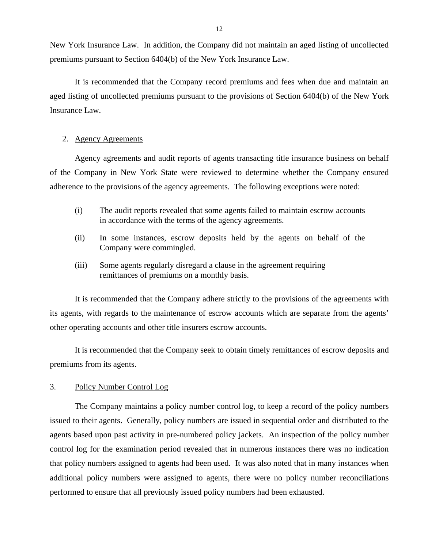New York Insurance Law. In addition, the Company did not maintain an aged listing of uncollected premiums pursuant to Section 6404(b) of the New York Insurance Law.

It is recommended that the Company record premiums and fees when due and maintain an aged listing of uncollected premiums pursuant to the provisions of Section 6404(b) of the New York Insurance Law.

## 2. Agency Agreements

Agency agreements and audit reports of agents transacting title insurance business on behalf of the Company in New York State were reviewed to determine whether the Company ensured adherence to the provisions of the agency agreements. The following exceptions were noted:

- (i) The audit reports revealed that some agents failed to maintain escrow accounts in accordance with the terms of the agency agreements.
- (ii) In some instances, escrow deposits held by the agents on behalf of the Company were commingled.
- (iii) Some agents regularly disregard a clause in the agreement requiring remittances of premiums on a monthly basis.

It is recommended that the Company adhere strictly to the provisions of the agreements with its agents, with regards to the maintenance of escrow accounts which are separate from the agents' other operating accounts and other title insurers escrow accounts.

It is recommended that the Company seek to obtain timely remittances of escrow deposits and premiums from its agents.

#### 3. Policy Number Control Log

The Company maintains a policy number control log, to keep a record of the policy numbers issued to their agents. Generally, policy numbers are issued in sequential order and distributed to the agents based upon past activity in pre-numbered policy jackets. An inspection of the policy number control log for the examination period revealed that in numerous instances there was no indication that policy numbers assigned to agents had been used. It was also noted that in many instances when additional policy numbers were assigned to agents, there were no policy number reconciliations performed to ensure that all previously issued policy numbers had been exhausted.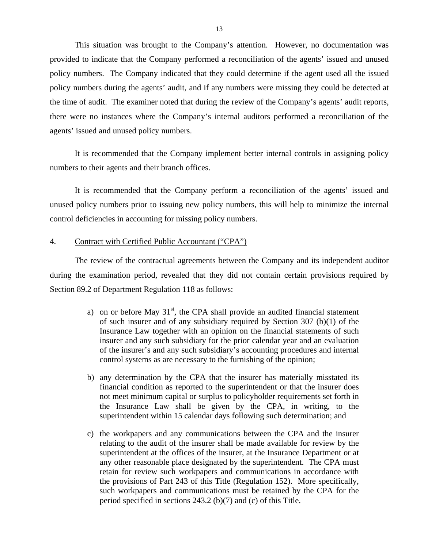This situation was brought to the Company's attention. However, no documentation was provided to indicate that the Company performed a reconciliation of the agents' issued and unused policy numbers. The Company indicated that they could determine if the agent used all the issued policy numbers during the agents' audit, and if any numbers were missing they could be detected at the time of audit. The examiner noted that during the review of the Company's agents' audit reports, there were no instances where the Company's internal auditors performed a reconciliation of the agents' issued and unused policy numbers.

It is recommended that the Company implement better internal controls in assigning policy numbers to their agents and their branch offices.

It is recommended that the Company perform a reconciliation of the agents' issued and unused policy numbers prior to issuing new policy numbers, this will help to minimize the internal control deficiencies in accounting for missing policy numbers.

#### 4. Contract with Certified Public Accountant ("CPA")

The review of the contractual agreements between the Company and its independent auditor during the examination period, revealed that they did not contain certain provisions required by Section 89.2 of Department Regulation 118 as follows:

- a) on or before May  $31<sup>st</sup>$ , the CPA shall provide an audited financial statement of such insurer and of any subsidiary required by Section 307 (b)(1) of the Insurance Law together with an opinion on the financial statements of such insurer and any such subsidiary for the prior calendar year and an evaluation of the insurer's and any such subsidiary's accounting procedures and internal control systems as are necessary to the furnishing of the opinion;
- b) any determination by the CPA that the insurer has materially misstated its financial condition as reported to the superintendent or that the insurer does not meet minimum capital or surplus to policyholder requirements set forth in the Insurance Law shall be given by the CPA, in writing, to the superintendent within 15 calendar days following such determination; and
- c) the workpapers and any communications between the CPA and the insurer relating to the audit of the insurer shall be made available for review by the superintendent at the offices of the insurer, at the Insurance Department or at any other reasonable place designated by the superintendent. The CPA must retain for review such workpapers and communications in accordance with the provisions of Part 243 of this Title (Regulation 152). More specifically, such workpapers and communications must be retained by the CPA for the period specified in sections 243.2 (b)(7) and (c) of this Title.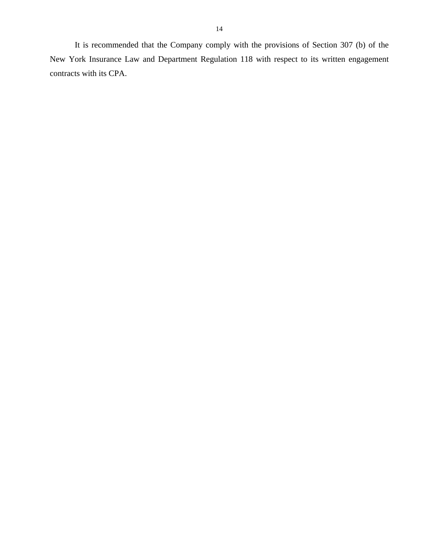It is recommended that the Company comply with the provisions of Section 307 (b) of the New York Insurance Law and Department Regulation 118 with respect to its written engagement contracts with its CPA.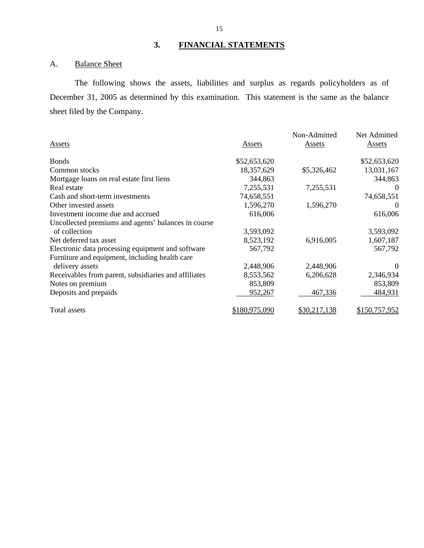## **3. FINANCIAL STATEMENTS**

## A. Balance Sheet

The following shows the assets, liabilities and surplus as regards policyholders as of December 31, 2005 as determined by this examination. This statement is the same as the balance sheet filed by the Company.

| Assets                                               | Assets               | Non-Admitted<br><b>Assets</b> | Net Admitted<br>Assets |
|------------------------------------------------------|----------------------|-------------------------------|------------------------|
| <b>Bonds</b>                                         | \$52,653,620         |                               | \$52,653,620           |
| Common stocks                                        | 18,357,629           | \$5,326,462                   | 13,031,167             |
| Mortgage loans on real estate first liens            | 344,863              |                               | 344,863                |
| Real estate                                          | 7,255,531            | 7,255,531                     | 0                      |
| Cash and short-term investments                      | 74,658,551           |                               | 74,658,551             |
| Other invested assets                                | 1,596,270            | 1,596,270                     | $\theta$               |
| Investment income due and accrued                    | 616,006              |                               | 616,006                |
| Uncollected premiums and agents' balances in course  |                      |                               |                        |
| of collection                                        | 3,593,092            |                               | 3,593,092              |
| Net deferred tax asset                               | 8,523,192            | 6,916,005                     | 1,607,187              |
| Electronic data processing equipment and software    | 567,792              |                               | 567,792                |
| Furniture and equipment, including health care       |                      |                               |                        |
| delivery assets                                      | 2,448,906            | 2,448,906                     | $\Omega$               |
| Receivables from parent, subsidiaries and affiliates | 8,553,562            | 6,206,628                     | 2,346,934              |
| Notes on premium                                     | 853,809              |                               | 853,809                |
| Deposits and prepaids                                | 952,267              | 467,336                       | 484,931                |
| Total assets                                         | <u>\$180,975,090</u> | \$30,217,138                  | \$150,757,952          |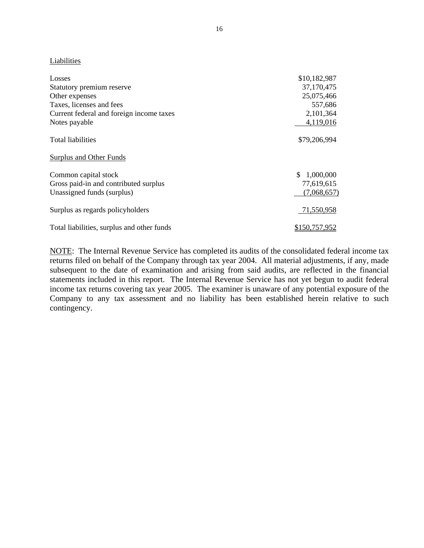## Liabilities

| Losses                                     | \$10,182,987    |
|--------------------------------------------|-----------------|
| Statutory premium reserve                  | 37,170,475      |
| Other expenses                             | 25,075,466      |
| Taxes, licenses and fees                   | 557,686         |
| Current federal and foreign income taxes   | 2,101,364       |
| Notes payable                              | 4,119,016       |
| Total liabilities                          | \$79,206,994    |
| Surplus and Other Funds                    |                 |
| Common capital stock                       | 1,000,000<br>S. |
| Gross paid-in and contributed surplus      | 77,619,615      |
| Unassigned funds (surplus)                 | (7,068,657)     |
| Surplus as regards policyholders           | 71,550,958      |
| Total liabilities, surplus and other funds | \$150,757,952   |

NOTE: The Internal Revenue Service has completed its audits of the consolidated federal income tax returns filed on behalf of the Company through tax year 2004. All material adjustments, if any, made subsequent to the date of examination and arising from said audits, are reflected in the financial statements included in this report. The Internal Revenue Service has not yet begun to audit federal income tax returns covering tax year 2005. The examiner is unaware of any potential exposure of the Company to any tax assessment and no liability has been established herein relative to such contingency.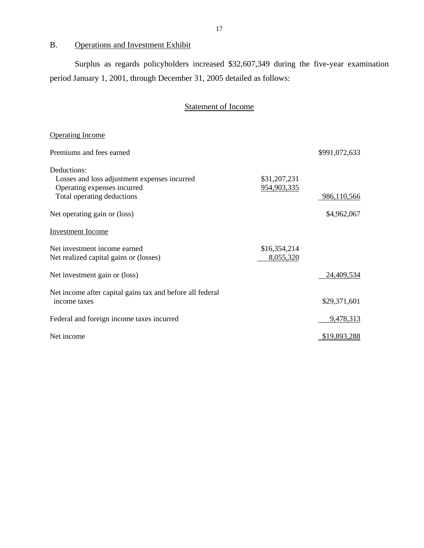B. Operations and Investment Exhibit

Surplus as regards policyholders increased \$32,607,349 during the five-year examination period January 1, 2001, through December 31, 2005 detailed as follows:

## Statement of Income

| <b>Operating Income</b>                                                                                                  |                             |               |
|--------------------------------------------------------------------------------------------------------------------------|-----------------------------|---------------|
| Premiums and fees earned                                                                                                 |                             | \$991,072,633 |
| Deductions:<br>Losses and loss adjustment expenses incurred<br>Operating expenses incurred<br>Total operating deductions | \$31,207,231<br>954,903,335 | 986,110,566   |
| Net operating gain or (loss)                                                                                             |                             | \$4,962,067   |
| <b>Investment Income</b>                                                                                                 |                             |               |
| Net investment income earned<br>Net realized capital gains or (losses)                                                   | \$16,354,214<br>8,055,320   |               |
| Net investment gain or (loss)                                                                                            |                             | 24,409,534    |
| Net income after capital gains tax and before all federal<br>income taxes                                                |                             | \$29,371,601  |
| Federal and foreign income taxes incurred                                                                                |                             | 9,478,313     |
| Net income                                                                                                               |                             | \$19,893,288  |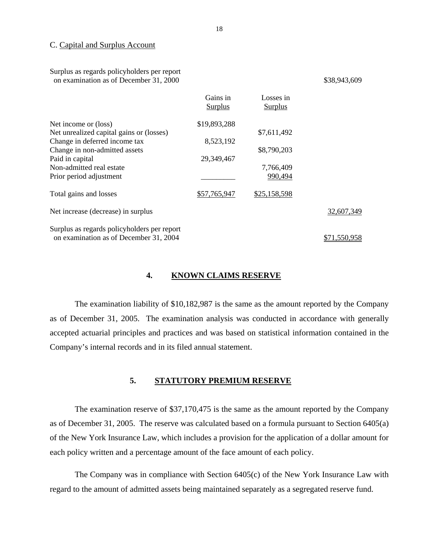#### C. Capital and Surplus Account

| Surplus as regards policyholders per report |
|---------------------------------------------|
| on examination as of December 31, 2000      |

\$38, 943, 609

|                                             | Gains in<br><b>Surplus</b> | Losses in<br><b>Surplus</b> |              |
|---------------------------------------------|----------------------------|-----------------------------|--------------|
| Net income or (loss)                        | \$19,893,288               |                             |              |
| Net unrealized capital gains or (losses)    |                            | \$7,611,492                 |              |
| Change in deferred income tax               | 8,523,192                  |                             |              |
| Change in non-admitted assets               |                            | \$8,790,203                 |              |
| Paid in capital                             | 29,349,467                 |                             |              |
| Non-admitted real estate                    |                            | 7,766,409                   |              |
| Prior period adjustment                     |                            | 990,494                     |              |
| Total gains and losses                      | \$57,765,947               | \$25,158,598                |              |
| Net increase (decrease) in surplus          |                            |                             | 32,607,349   |
| Surplus as regards policyholders per report |                            |                             |              |
| on examination as of December 31, 2004      |                            |                             | \$71,550,958 |

## **4. KNOWN CLAIMS RESERVE**

The examination liability of \$10,182,987 is the same as the amount reported by the Company as of December 31, 2005. The examination analysis was conducted in accordance with generally accepted actuarial principles and practices and was based on statistical information contained in the Company's internal records and in its filed annual statement.

## **5. STATUTORY PREMIUM RESERVE**

The examination reserve of \$37,170,475 is the same as the amount reported by the Company as of December 31, 2005. The reserve was calculated based on a formula pursuant to Section 6405(a) of the New York Insurance Law, which includes a provision for the application of a dollar amount for each policy written and a percentage amount of the face amount of each policy.

The Company was in compliance with Section 6405(c) of the New York Insurance Law with regard to the amount of admitted assets being maintained separately as a segregated reserve fund.

Losses in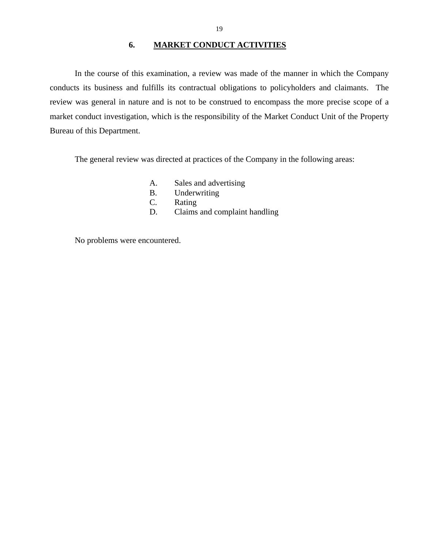## **6. MARKET CONDUCT ACTIVITIES**

<span id="page-20-0"></span>In the course of this examination, a review was made of the manner in which the Company conducts its business and fulfills its contractual obligations to policyholders and claimants. The review was general in nature and is not to be construed to encompass the more precise scope of a market conduct investigation, which is the responsibility of the Market Conduct Unit of the Property Bureau of this Department.

The general review was directed at practices of the Company in the following areas:

- A. Sales and advertising
- B. Underwriting
- C. Rating
- D. Claims and complaint handling

No problems were encountered.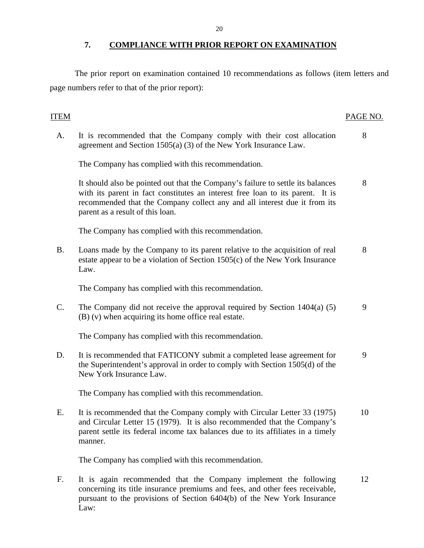<span id="page-21-0"></span>The prior report on examination contained 10 recommendations as follows (item letters and page numbers refer to that of the prior report):

## ITEM PAGE NO.

A. It is recommended that the Company comply with their cost allocation 8 agreement and Section 1505(a) (3) of the New York Insurance Law.

The Company has complied with this recommendation.

It should also be pointed out that the Company's failure to settle its balances 8 with its parent in fact constitutes an interest free loan to its parent. It is recommended that the Company collect any and all interest due it from its parent as a result of this loan.

The Company has complied with this recommendation.

B. Loans made by the Company to its parent relative to the acquisition of real 8 estate appear to be a violation of Section 1505(c) of the New York Insurance Law.

The Company has complied with this recommendation.

C. The Company did not receive the approval required by Section  $1404(a)$  (5) 9 (B) (v) when acquiring its home office real estate.

The Company has complied with this recommendation.

D. It is recommended that FATICONY submit a completed lease agreement for 9 the Superintendent's approval in order to comply with Section 1505(d) of the New York Insurance Law.

The Company has complied with this recommendation.

E. It is recommended that the Company comply with Circular Letter 33 (1975) 10 and Circular Letter 15 (1979). It is also recommended that the Company's parent settle its federal income tax balances due to its affiliates in a timely manner.

The Company has complied with this recommendation.

F. It is again recommended that the Company implement the following 12 concerning its title insurance premiums and fees, and other fees receivable, pursuant to the provisions of Section 6404(b) of the New York Insurance Law: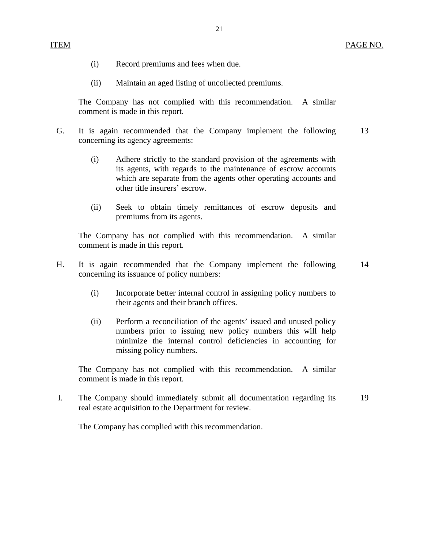- (i) Record premiums and fees when due.
- (ii) Maintain an aged listing of uncollected premiums.

The Company has not complied with this recommendation. A similar comment is made in this report.

- G. It is again recommended that the Company implement the following 13 concerning its agency agreements:
	- (i) Adhere strictly to the standard provision of the agreements with its agents, with regards to the maintenance of escrow accounts which are separate from the agents other operating accounts and other title insurers' escrow.
	- (ii) Seek to obtain timely remittances of escrow deposits and premiums from its agents.

The Company has not complied with this recommendation. A similar comment is made in this report.

- H. It is again recommended that the Company implement the following 14 concerning its issuance of policy numbers:
	- (i) Incorporate better internal control in assigning policy numbers to their agents and their branch offices.
	- (ii) Perform a reconciliation of the agents' issued and unused policy numbers prior to issuing new policy numbers this will help minimize the internal control deficiencies in accounting for missing policy numbers.

The Company has not complied with this recommendation. A similar comment is made in this report.

I. The Company should immediately submit all documentation regarding its 19 real estate acquisition to the Department for review.

The Company has complied with this recommendation.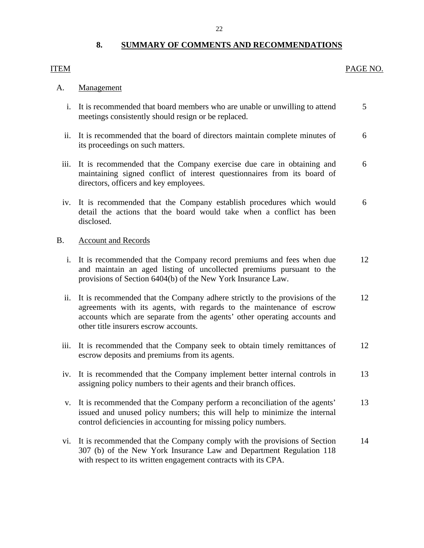## **8. SUMMARY OF COMMENTS AND RECOMMENDATIONS**

## <span id="page-23-0"></span>ITEM PAGE NO.

## Management

- A. Management<br>i. It is recommended that board members who are unable or unwilling to attend 5 meetings consistently should resign or be replaced.
	- ii. It is recommended that the board of directors maintain complete minutes of 6 its proceedings on such matters.
	- iii. It is recommended that the Company exercise due care in obtaining and 6 maintaining signed conflict of interest questionnaires from its board of directors, officers and key employees.
	- iv. It is recommended that the Company establish procedures which would 6 detail the actions that the board would take when a conflict has been disclosed.

## **Account and Records**

- B. Account and Records<br>i. It is recommended that the Company record premiums and fees when due 12 and maintain an aged listing of uncollected premiums pursuant to the provisions of Section 6404(b) of the New York Insurance Law.
	- ii. It is recommended that the Company adhere strictly to the provisions of the 12 agreements with its agents, with regards to the maintenance of escrow accounts which are separate from the agents' other operating accounts and other title insurers escrow accounts.
	- iii. It is recommended that the Company seek to obtain timely remittances of 12 escrow deposits and premiums from its agents.
	- iv. It is recommended that the Company implement better internal controls in 13 assigning policy numbers to their agents and their branch offices.
	- v. It is recommended that the Company perform a reconciliation of the agents' 13 issued and unused policy numbers; this will help to minimize the internal control deficiencies in accounting for missing policy numbers.
	- vi. It is recommended that the Company comply with the provisions of Section 14 307 (b) of the New York Insurance Law and Department Regulation 118 with respect to its written engagement contracts with its CPA.

22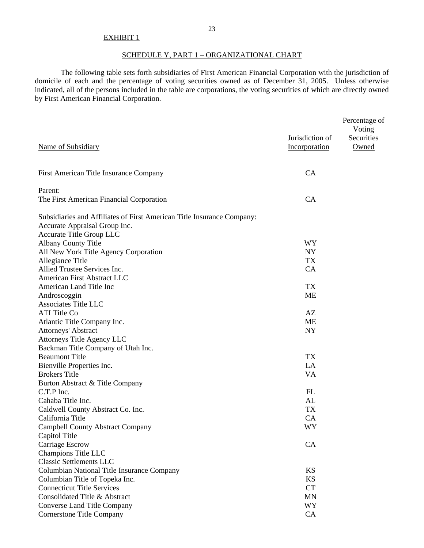## EXHIBIT 1

## SCHEDULE Y, PART 1 – ORGANIZATIONAL CHART

The following table sets forth subsidiaries of First American Financial Corporation with the jurisdiction of domicile of each and the percentage of voting securities owned as of December 31, 2005. Unless otherwise indicated, all of the persons included in the table are corporations, the voting securities of which are directly owned by First American Financial Corporation.

|                                                                        |                 | Percentage of |
|------------------------------------------------------------------------|-----------------|---------------|
|                                                                        |                 | Voting        |
|                                                                        | Jurisdiction of | Securities    |
| Name of Subsidiary                                                     | Incorporation   | Owned         |
| First American Title Insurance Company                                 | CA              |               |
| Parent:                                                                |                 |               |
| The First American Financial Corporation                               | CA              |               |
| Subsidiaries and Affiliates of First American Title Insurance Company: |                 |               |
| Accurate Appraisal Group Inc.                                          |                 |               |
| Accurate Title Group LLC                                               |                 |               |
| <b>Albany County Title</b>                                             | <b>WY</b>       |               |
| All New York Title Agency Corporation                                  | <b>NY</b>       |               |
| Allegiance Title                                                       | <b>TX</b>       |               |
| Allied Trustee Services Inc.                                           | CA              |               |
| American First Abstract LLC                                            |                 |               |
| American Land Title Inc                                                | <b>TX</b>       |               |
| Androscoggin                                                           | <b>ME</b>       |               |
| <b>Associates Title LLC</b>                                            |                 |               |
| <b>ATI</b> Title Co                                                    | AZ              |               |
| Atlantic Title Company Inc.                                            | <b>ME</b>       |               |
| <b>Attorneys' Abstract</b>                                             | <b>NY</b>       |               |
| Attorneys Title Agency LLC                                             |                 |               |
| Backman Title Company of Utah Inc.                                     |                 |               |
| <b>Beaumont Title</b>                                                  | <b>TX</b>       |               |
| Bienville Properties Inc.                                              | LA              |               |
| <b>Brokers Title</b>                                                   | VA              |               |
| Burton Abstract & Title Company                                        |                 |               |
| C.T.P Inc.                                                             | FL              |               |
| Cahaba Title Inc.                                                      | AL              |               |
| Caldwell County Abstract Co. Inc.                                      | <b>TX</b>       |               |
| California Title                                                       | CA              |               |
| <b>Campbell County Abstract Company</b>                                | <b>WY</b>       |               |
| Capitol Title                                                          |                 |               |
| Carriage Escrow                                                        | CA              |               |
| Champions Title LLC                                                    |                 |               |
| <b>Classic Settlements LLC</b>                                         |                 |               |
| Columbian National Title Insurance Company                             | <b>KS</b>       |               |
| Columbian Title of Topeka Inc.                                         | <b>KS</b>       |               |
| <b>Connecticut Title Services</b>                                      | <b>CT</b>       |               |
| Consolidated Title & Abstract                                          | MN              |               |
| <b>Converse Land Title Company</b>                                     | WY              |               |
| <b>Cornerstone Title Company</b>                                       | CA              |               |
|                                                                        |                 |               |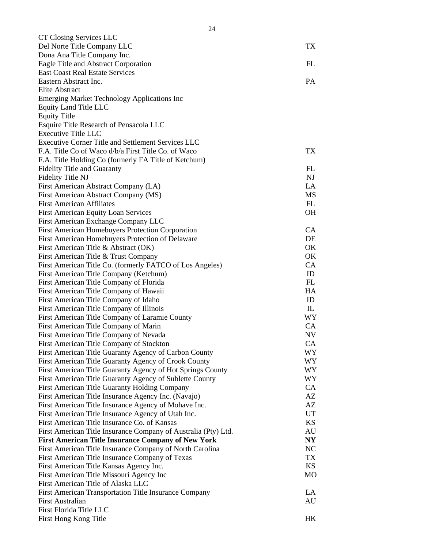| CT Closing Services LLC                                        |                |
|----------------------------------------------------------------|----------------|
| Del Norte Title Company LLC                                    | TX             |
| Dona Ana Title Company Inc.                                    |                |
| Eagle Title and Abstract Corporation                           | FL             |
| <b>East Coast Real Estate Services</b>                         |                |
| Eastern Abstract Inc.                                          | <b>PA</b>      |
| Elite Abstract                                                 |                |
| <b>Emerging Market Technology Applications Inc</b>             |                |
| Equity Land Title LLC                                          |                |
| <b>Equity Title</b>                                            |                |
| Esquire Title Research of Pensacola LLC                        |                |
| <b>Executive Title LLC</b>                                     |                |
| <b>Executive Corner Title and Settlement Services LLC</b>      |                |
| F.A. Title Co of Waco d/b/a First Title Co. of Waco            | TX             |
| F.A. Title Holding Co (formerly FA Title of Ketchum)           |                |
| <b>Fidelity Title and Guaranty</b>                             | FL             |
| Fidelity Title NJ                                              | <b>NJ</b>      |
| First American Abstract Company (LA)                           | LA             |
| First American Abstract Company (MS)                           | MS             |
| <b>First American Affiliates</b>                               | FL             |
| <b>First American Equity Loan Services</b>                     | <b>OH</b>      |
| First American Exchange Company LLC                            |                |
| <b>First American Homebuyers Protection Corporation</b>        | CA             |
| First American Homebuyers Protection of Delaware               | DE             |
| First American Title & Abstract (OK)                           | OK             |
| First American Title & Trust Company                           | OK             |
| First American Title Co. (formerly FATCO of Los Angeles)       | CA             |
| First American Title Company (Ketchum)                         | ID             |
| First American Title Company of Florida                        | FL             |
| First American Title Company of Hawaii                         | HA             |
| First American Title Company of Idaho                          | ID             |
| First American Title Company of Illinois                       | IL             |
| First American Title Company of Laramie County                 | <b>WY</b>      |
| First American Title Company of Marin                          | CA             |
| First American Title Company of Nevada                         | NV             |
| First American Title Company of Stockton                       | <b>CA</b>      |
| First American Title Guaranty Agency of Carbon County          | WY             |
| First American Title Guaranty Agency of Crook County           | WY             |
| First American Title Guaranty Agency of Hot Springs County     | WY             |
| First American Title Guaranty Agency of Sublette County        | <b>WY</b>      |
| First American Title Guaranty Holding Company                  | CA             |
| First American Title Insurance Agency Inc. (Navajo)            | AZ             |
| First American Title Insurance Agency of Mohave Inc.           | AZ             |
| First American Title Insurance Agency of Utah Inc.             | UT             |
| First American Title Insurance Co. of Kansas                   | KS             |
| First American Title Insurance Company of Australia (Pty) Ltd. | AU             |
| <b>First American Title Insurance Company of New York</b>      | N <sub>Y</sub> |
| First American Title Insurance Company of North Carolina       | <b>NC</b>      |
| First American Title Insurance Company of Texas                | <b>TX</b>      |
| First American Title Kansas Agency Inc.                        | KS             |
| First American Title Missouri Agency Inc                       | <b>MO</b>      |
| First American Title of Alaska LLC                             |                |
| First American Transportation Title Insurance Company          | LA             |
| <b>First Australian</b>                                        | AU             |
| First Florida Title LLC                                        |                |
| First Hong Kong Title                                          | HK             |
|                                                                |                |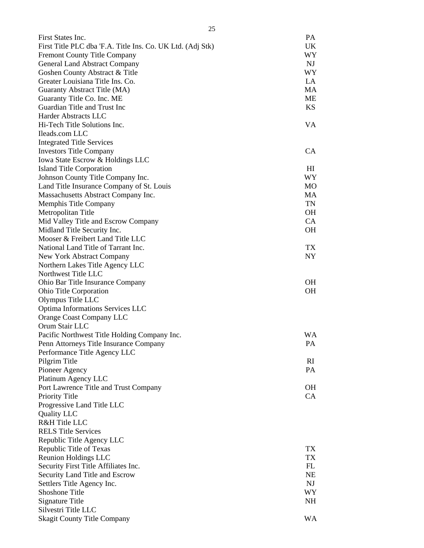| First States Inc.                                          | PA             |
|------------------------------------------------------------|----------------|
| First Title PLC dba 'F.A. Title Ins. Co. UK Ltd. (Adj Stk) | UK             |
| <b>Fremont County Title Company</b>                        | WY             |
| <b>General Land Abstract Company</b>                       | NJ             |
| Goshen County Abstract & Title                             | <b>WY</b>      |
| Greater Louisiana Title Ins. Co.                           | LA             |
| Guaranty Abstract Title (MA)                               | MA             |
| Guaranty Title Co. Inc. ME                                 | ME             |
| Guardian Title and Trust Inc                               | <b>KS</b>      |
| Harder Abstracts LLC                                       |                |
| Hi-Tech Title Solutions Inc.                               | VA             |
| Ileads.com LLC                                             |                |
| <b>Integrated Title Services</b>                           |                |
| <b>Investors Title Company</b>                             | CA             |
| Iowa State Escrow & Holdings LLC                           |                |
| <b>Island Title Corporation</b>                            | HI             |
| Johnson County Title Company Inc.                          | WY <sub></sub> |
| Land Title Insurance Company of St. Louis                  | MO             |
| Massachusetts Abstract Company Inc.                        | <b>MA</b>      |
| Memphis Title Company                                      | TN             |
| Metropolitan Title                                         | OН             |
| Mid Valley Title and Escrow Company                        | CA             |
| Midland Title Security Inc.                                | <b>OH</b>      |
| Mooser & Freibert Land Title LLC                           |                |
| National Land Title of Tarrant Inc.                        | TX             |
| New York Abstract Company                                  | <b>NY</b>      |
| Northern Lakes Title Agency LLC                            |                |
| Northwest Title LLC                                        |                |
| Ohio Bar Title Insurance Company                           | OH             |
| Ohio Title Corporation                                     | <b>OH</b>      |
| Olympus Title LLC                                          |                |
| Optima Informations Services LLC                           |                |
| Orange Coast Company LLC                                   |                |
| Orum Stair LLC                                             |                |
| Pacific Northwest Title Holding Company Inc.               | <b>WA</b>      |
| Penn Attorneys Title Insurance Company                     | PA             |
| Performance Title Agency LLC                               |                |
| Pilgrim Title                                              | RI             |
| Pioneer Agency                                             | PA             |
| Platinum Agency LLC                                        |                |
| Port Lawrence Title and Trust Company                      | OН             |
| <b>Priority Title</b>                                      | CA             |
| Progressive Land Title LLC                                 |                |
| <b>Quality LLC</b>                                         |                |
| R&H Title LLC                                              |                |
| <b>RELS Title Services</b>                                 |                |
| Republic Title Agency LLC                                  |                |
| Republic Title of Texas                                    | TX             |
| Reunion Holdings LLC                                       | TX             |
|                                                            | FL             |
| Security First Title Affiliates Inc.                       | NE             |
| Security Land Title and Escrow                             |                |
| Settlers Title Agency Inc.                                 | NJ             |
| Shoshone Title                                             | WY             |
| Signature Title                                            | NH             |
| Silvestri Title LLC                                        |                |
| <b>Skagit County Title Company</b>                         | <b>WA</b>      |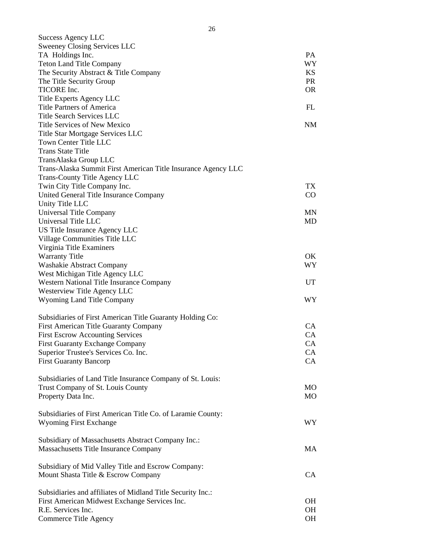| Success Agency LLC                                            |           |
|---------------------------------------------------------------|-----------|
| Sweeney Closing Services LLC                                  |           |
| TA Holdings Inc.                                              | PA        |
| <b>Teton Land Title Company</b>                               | <b>WY</b> |
| The Security Abstract & Title Company                         | <b>KS</b> |
| The Title Security Group                                      | <b>PR</b> |
| TICORE Inc.                                                   | OR.       |
| Title Experts Agency LLC<br><b>Title Partners of America</b>  | FL        |
| <b>Title Search Services LLC</b>                              |           |
| Title Services of New Mexico                                  | <b>NM</b> |
| Title Star Mortgage Services LLC                              |           |
| Town Center Title LLC                                         |           |
| <b>Trans State Title</b>                                      |           |
| TransAlaska Group LLC                                         |           |
| Trans-Alaska Summit First American Title Insurance Agency LLC |           |
| <b>Trans-County Title Agency LLC</b>                          |           |
| Twin City Title Company Inc.                                  | TX        |
| United General Title Insurance Company                        | CO        |
| Unity Title LLC                                               |           |
| Universal Title Company                                       | MN        |
| Universal Title LLC                                           | MD        |
| US Title Insurance Agency LLC                                 |           |
| Village Communities Title LLC                                 |           |
| Virginia Title Examiners                                      |           |
| <b>Warranty Title</b>                                         | OK.       |
| Washakie Abstract Company                                     | WY.       |
| West Michigan Title Agency LLC                                |           |
| Western National Title Insurance Company                      | <b>UT</b> |
| Westerview Title Agency LLC                                   |           |
| <b>Wyoming Land Title Company</b>                             | WY        |
|                                                               |           |
| Subsidiaries of First American Title Guaranty Holding Co:     |           |
| First American Title Guaranty Company                         | CA.       |
| <b>First Escrow Accounting Services</b>                       | CA        |
| <b>First Guaranty Exchange Company</b>                        | CA        |
| Superior Trustee's Services Co. Inc.                          | CA        |
| <b>First Guaranty Bancorp</b>                                 | CA        |
|                                                               |           |
| Subsidiaries of Land Title Insurance Company of St. Louis:    |           |
| Trust Company of St. Louis County                             | MO.       |
| Property Data Inc.                                            | <b>MO</b> |
|                                                               |           |
| Subsidiaries of First American Title Co. of Laramie County:   |           |
| <b>Wyoming First Exchange</b>                                 | WY        |
|                                                               |           |
| Subsidiary of Massachusetts Abstract Company Inc.:            |           |
| Massachusetts Title Insurance Company                         | MA        |
|                                                               |           |
| Subsidiary of Mid Valley Title and Escrow Company:            |           |
| Mount Shasta Title & Escrow Company                           | CA        |
|                                                               |           |
| Subsidiaries and affiliates of Midland Title Security Inc.:   |           |
| First American Midwest Exchange Services Inc.                 | OH        |
| R.E. Services Inc.                                            | OH        |
| Commerce Title Agency                                         | OH        |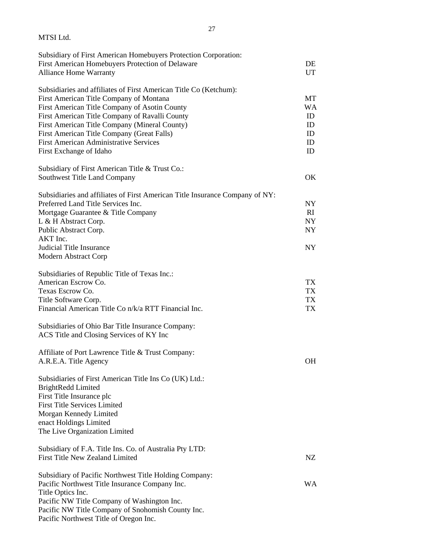| MTSI Ltd.                                                                                       |                 |
|-------------------------------------------------------------------------------------------------|-----------------|
| Subsidiary of First American Homebuyers Protection Corporation:                                 |                 |
| First American Homebuyers Protection of Delaware<br><b>Alliance Home Warranty</b>               | DE<br><b>UT</b> |
| Subsidiaries and affiliates of First American Title Co (Ketchum):                               |                 |
| First American Title Company of Montana                                                         | MT              |
| First American Title Company of Asotin County                                                   | <b>WA</b>       |
| First American Title Company of Ravalli County<br>First American Title Company (Mineral County) | ID<br>ID        |
| First American Title Company (Great Falls)                                                      | ID              |
| <b>First American Administrative Services</b>                                                   | ID              |
| First Exchange of Idaho                                                                         | ID              |
| Subsidiary of First American Title & Trust Co.:                                                 |                 |
| Southwest Title Land Company                                                                    | OK              |
| Subsidiaries and affiliates of First American Title Insurance Company of NY:                    |                 |
| Preferred Land Title Services Inc.                                                              | NY.<br>RI       |
| Mortgage Guarantee & Title Company<br>L & H Abstract Corp.                                      | NY              |
| Public Abstract Corp.                                                                           | <b>NY</b>       |
| AKT Inc.                                                                                        |                 |
| <b>Judicial Title Insurance</b>                                                                 | NY              |
| Modern Abstract Corp                                                                            |                 |
| Subsidiaries of Republic Title of Texas Inc.:                                                   |                 |
| American Escrow Co.                                                                             | TX              |
| Texas Escrow Co.                                                                                | TX              |
| Title Software Corp.<br>Financial American Title Co n/k/a RTT Financial Inc.                    | TX<br>TX        |
|                                                                                                 |                 |
| Subsidiaries of Ohio Bar Title Insurance Company:<br>ACS Title and Closing Services of KY Inc   |                 |
|                                                                                                 |                 |
| Affiliate of Port Lawrence Title & Trust Company:                                               |                 |
| A.R.E.A. Title Agency                                                                           | OH.             |
| Subsidiaries of First American Title Ins Co (UK) Ltd.:                                          |                 |
| <b>BrightRedd Limited</b>                                                                       |                 |
| First Title Insurance plc                                                                       |                 |
| <b>First Title Services Limited</b><br>Morgan Kennedy Limited                                   |                 |
| enact Holdings Limited                                                                          |                 |
| The Live Organization Limited                                                                   |                 |
| Subsidiary of F.A. Title Ins. Co. of Australia Pty LTD:                                         |                 |
| First Title New Zealand Limited                                                                 | NZ              |
| Subsidiary of Pacific Northwest Title Holding Company:                                          |                 |
| Pacific Northwest Title Insurance Company Inc.                                                  | WA.             |
| Title Optics Inc.                                                                               |                 |
| Pacific NW Title Company of Washington Inc.                                                     |                 |
| Pacific NW Title Company of Snohomish County Inc.                                               |                 |
| Pacific Northwest Title of Oregon Inc.                                                          |                 |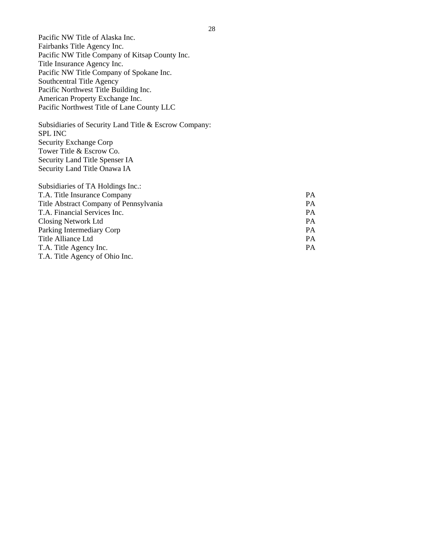Pacific NW Title of Alaska Inc. Fairbanks Title Agency Inc. Pacific NW Title Company of Kitsap County Inc. Title Insurance Agency Inc. Pacific NW Title Company of Spokane Inc. Southcentral Title Agency Pacific Northwest Title Building Inc. American Property Exchange Inc. Pacific Northwest Title of Lane County LLC

Subsidiaries of Security Land Title & Escrow Company: SPL INC Security Exchange Corp Tower Title & Escrow Co. Security Land Title Spenser IA Security Land Title Onawa IA

| Subsidiaries of TA Holdings Inc.:      |           |
|----------------------------------------|-----------|
| T.A. Title Insurance Company           | <b>PA</b> |
| Title Abstract Company of Pennsylvania | <b>PA</b> |
| T.A. Financial Services Inc.           | PA        |
| Closing Network Ltd                    | <b>PA</b> |
| Parking Intermediary Corp              | PA.       |
| Title Alliance Ltd                     | PA.       |
| T.A. Title Agency Inc.                 | PA.       |
| T.A. Title Agency of Ohio Inc.         |           |
|                                        |           |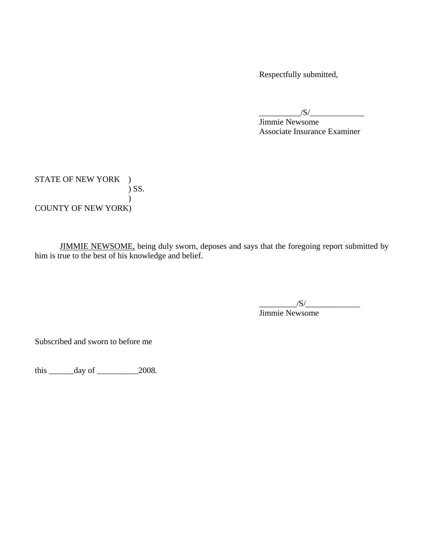Respectfully submitted,

 $\frac{1}{\sqrt{S}}$ 

 Jimmie Newsome Associate Insurance Examiner

STATE OF NEW YORK ) ) SS.  $\lambda$ COUNTY OF NEW YORK)

 JIMMIE NEWSOME, being duly sworn, deposes and says that the foregoing report submitted by him is true to the best of his knowledge and belief.

 Jimmie Newsome  $\frac{1}{S}$ 

Subscribed and sworn to before me

this  $\_\_\_\_\_\_\$  day of  $\_\_\_\_\_\_2$  2008.